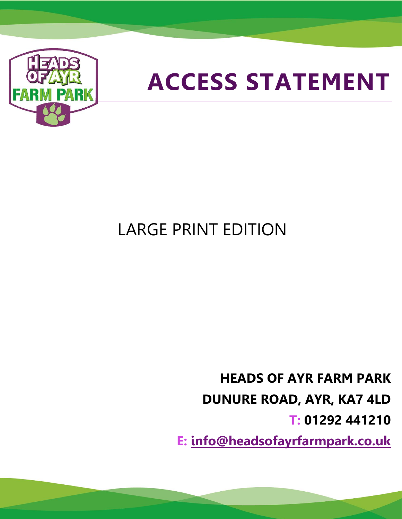

# **ACCESS STATEMENT**

## LARGE PRINT EDITION

**HEADS OF AYR FARM PARK DUNURE ROAD, AYR, KA7 4LD T: 01292 441210**

**E: [info@headsofayrfarmpark.co.uk](mailto:info@headsofayrfarmpark.co.uk)**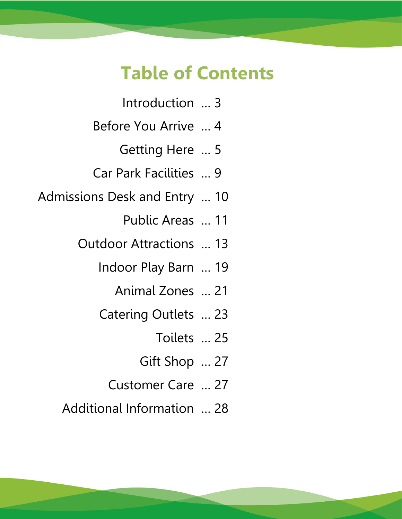### **Table of Contents**

- Introduction … 3
- Before You Arrive … 4
	- Getting Here … 5
- Car Park Facilities … 9
- Admissions Desk and Entry … 10
	- Public Areas … 11
	- Outdoor Attractions … 13
		- Indoor Play Barn … 19
			- Animal Zones … 21
		- Catering Outlets … 23
			- Toilets … 25
			- Gift Shop … 27
			- Customer Care … 27
	- Additional Information … 28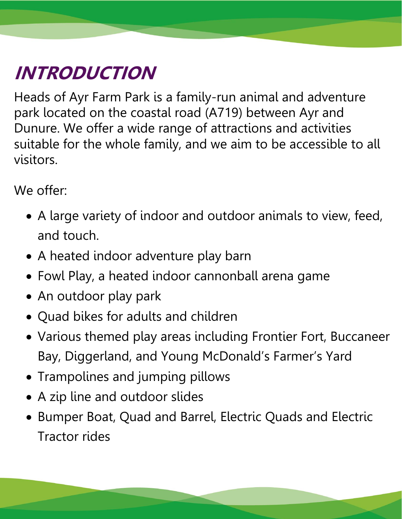# **INTRODUCTION**

Heads of Ayr Farm Park is a family-run animal and adventure park located on the coastal road (A719) between Ayr and Dunure. We offer a wide range of attractions and activities suitable for the whole family, and we aim to be accessible to all visitors.

We offer:

- A large variety of indoor and outdoor animals to view, feed, and touch.
- A heated indoor adventure play barn
- Fowl Play, a heated indoor cannonball arena game
- An outdoor play park
- Quad bikes for adults and children
- Various themed play areas including Frontier Fort, Buccaneer Bay, Diggerland, and Young McDonald's Farmer's Yard
- Trampolines and jumping pillows
- A zip line and outdoor slides
- Bumper Boat, Quad and Barrel, Electric Quads and Electric Tractor rides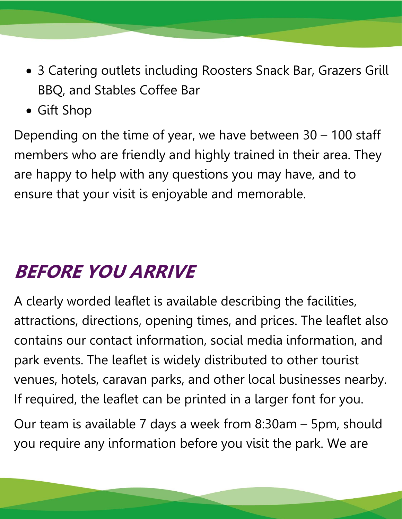- 3 Catering outlets including Roosters Snack Bar, Grazers Grill BBQ, and Stables Coffee Bar
- Gift Shop

Depending on the time of year, we have between 30 – 100 staff members who are friendly and highly trained in their area. They are happy to help with any questions you may have, and to ensure that your visit is enjoyable and memorable.

## **BEFORE YOU ARRIVE**

A clearly worded leaflet is available describing the facilities, attractions, directions, opening times, and prices. The leaflet also contains our contact information, social media information, and park events. The leaflet is widely distributed to other tourist venues, hotels, caravan parks, and other local businesses nearby. If required, the leaflet can be printed in a larger font for you.

Our team is available 7 days a week from 8:30am – 5pm, should you require any information before you visit the park. We are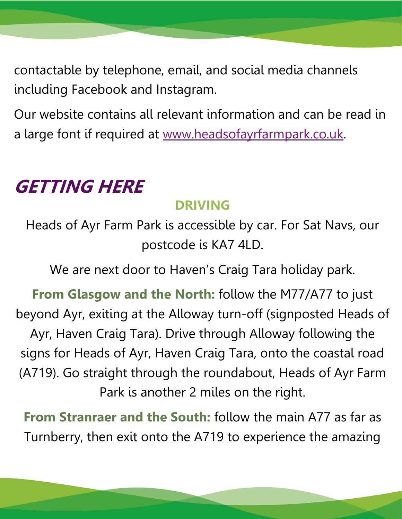contactable by telephone, email, and social media channels including Facebook and Instagram.

Our website contains all relevant information and can be read in a large font if required at [www.headsofayrfarmpark.co.uk.](http://www.headsofayrfarmpark.co.uk/)

### **GETTING HERE**

#### **DRIVING**

Heads of Ayr Farm Park is accessible by car. For Sat Navs, our postcode is KA7 4LD.

We are next door to Haven's Craig Tara holiday park.

From Glasgow and the North: follow the M77/A77 to just beyond Ayr, exiting at the Alloway turn-off (signposted Heads of Ayr, Haven Craig Tara). Drive through Alloway following the signs for Heads of Ayr, Haven Craig Tara, onto the coastal road (A719). Go straight through the roundabout, Heads of Ayr Farm Park is another 2 miles on the right.

**From Stranraer and the South:** follow the main A77 as far as Turnberry, then exit onto the A719 to experience the amazing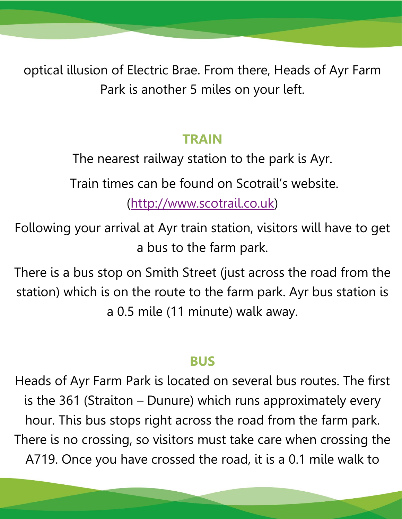optical illusion of Electric Brae. From there, Heads of Ayr Farm Park is another 5 miles on your left.

#### **TRAIN**

The nearest railway station to the park is Ayr.

Train times can be found on Scotrail's website.

[\(http://www.scotrail.co.uk\)](http://www.scotrail.co.uk/)

Following your arrival at Ayr train station, visitors will have to get a bus to the farm park.

There is a bus stop on Smith Street (just across the road from the station) which is on the route to the farm park. Ayr bus station is a 0.5 mile (11 minute) walk away.

#### **BUS**

Heads of Ayr Farm Park is located on several bus routes. The first is the 361 (Straiton – Dunure) which runs approximately every hour. This bus stops right across the road from the farm park. There is no crossing, so visitors must take care when crossing the A719. Once you have crossed the road, it is a 0.1 mile walk to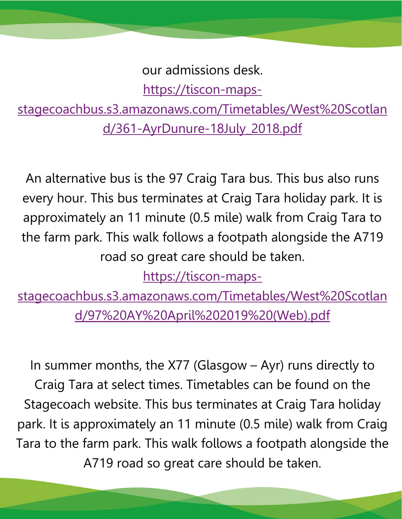our admissions desk.

[https://tiscon-maps-](https://tiscon-maps-stagecoachbus.s3.amazonaws.com/Timetables/West%20Scotland/361-AyrDunure-18July_2018.pdf)

[stagecoachbus.s3.amazonaws.com/Timetables/West%20Scotlan](https://tiscon-maps-stagecoachbus.s3.amazonaws.com/Timetables/West%20Scotland/361-AyrDunure-18July_2018.pdf) [d/361-AyrDunure-18July\\_2018.pdf](https://tiscon-maps-stagecoachbus.s3.amazonaws.com/Timetables/West%20Scotland/361-AyrDunure-18July_2018.pdf)

An alternative bus is the 97 Craig Tara bus. This bus also runs every hour. This bus terminates at Craig Tara holiday park. It is approximately an 11 minute (0.5 mile) walk from Craig Tara to the farm park. This walk follows a footpath alongside the A719 road so great care should be taken.

[https://tiscon-maps-](https://tiscon-maps-stagecoachbus.s3.amazonaws.com/Timetables/West%20Scotland/97%20AY%20April%202019%20(Web).pdf)

[stagecoachbus.s3.amazonaws.com/Timetables/West%20Scotlan](https://tiscon-maps-stagecoachbus.s3.amazonaws.com/Timetables/West%20Scotland/97%20AY%20April%202019%20(Web).pdf) [d/97%20AY%20April%202019%20\(Web\).pdf](https://tiscon-maps-stagecoachbus.s3.amazonaws.com/Timetables/West%20Scotland/97%20AY%20April%202019%20(Web).pdf)

In summer months, the X77 (Glasgow – Ayr) runs directly to Craig Tara at select times. Timetables can be found on the Stagecoach website. This bus terminates at Craig Tara holiday park. It is approximately an 11 minute (0.5 mile) walk from Craig Tara to the farm park. This walk follows a footpath alongside the A719 road so great care should be taken.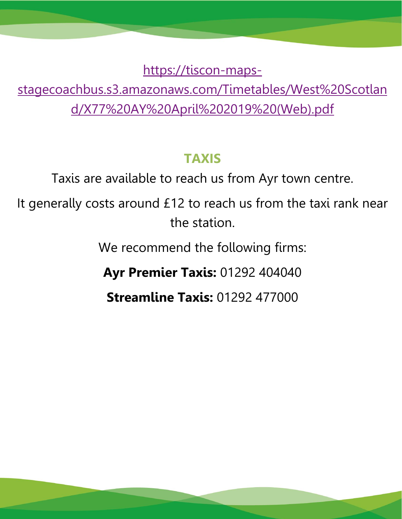[https://tiscon-maps-](https://tiscon-maps-stagecoachbus.s3.amazonaws.com/Timetables/West%20Scotland/X77%20AY%20April%202019%20(Web).pdf)

[stagecoachbus.s3.amazonaws.com/Timetables/West%20Scotlan](https://tiscon-maps-stagecoachbus.s3.amazonaws.com/Timetables/West%20Scotland/X77%20AY%20April%202019%20(Web).pdf) [d/X77%20AY%20April%202019%20\(Web\).pdf](https://tiscon-maps-stagecoachbus.s3.amazonaws.com/Timetables/West%20Scotland/X77%20AY%20April%202019%20(Web).pdf)

#### **TAXIS**

Taxis are available to reach us from Ayr town centre.

It generally costs around £12 to reach us from the taxi rank near the station.

We recommend the following firms:

**Ayr Premier Taxis:** 01292 404040

**Streamline Taxis:** 01292 477000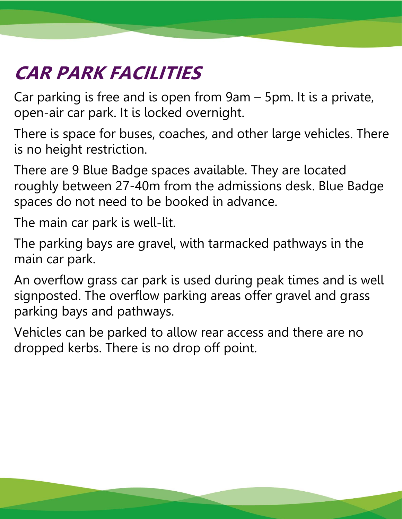# **CAR PARK FACILITIES**

Car parking is free and is open from 9am – 5pm. It is a private, open-air car park. It is locked overnight.

There is space for buses, coaches, and other large vehicles. There is no height restriction.

There are 9 Blue Badge spaces available. They are located roughly between 27-40m from the admissions desk. Blue Badge spaces do not need to be booked in advance.

The main car park is well-lit.

The parking bays are gravel, with tarmacked pathways in the main car park.

An overflow grass car park is used during peak times and is well signposted. The overflow parking areas offer gravel and grass parking bays and pathways.

Vehicles can be parked to allow rear access and there are no dropped kerbs. There is no drop off point.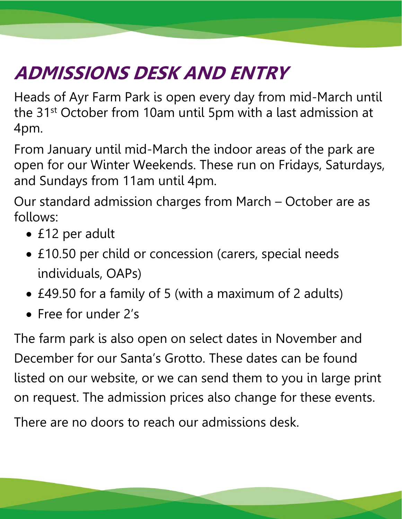# **ADMISSIONS DESK AND ENTRY**

Heads of Ayr Farm Park is open every day from mid-March until the 31st October from 10am until 5pm with a last admission at 4pm.

From January until mid-March the indoor areas of the park are open for our Winter Weekends. These run on Fridays, Saturdays, and Sundays from 11am until 4pm.

Our standard admission charges from March – October are as follows:

- £12 per adult
- £10.50 per child or concession (carers, special needs individuals, OAPs)
- £49.50 for a family of 5 (with a maximum of 2 adults)
- Free for under 2's

The farm park is also open on select dates in November and December for our Santa's Grotto. These dates can be found listed on our website, or we can send them to you in large print on request. The admission prices also change for these events.

There are no doors to reach our admissions desk.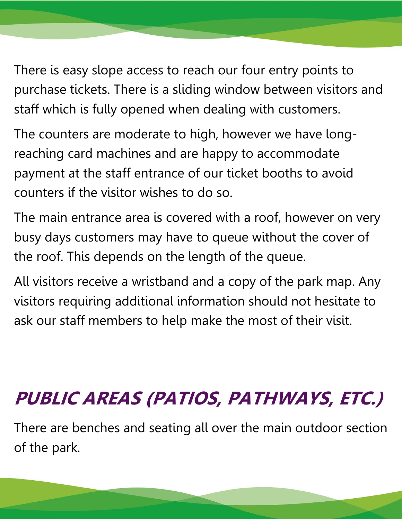There is easy slope access to reach our four entry points to purchase tickets. There is a sliding window between visitors and staff which is fully opened when dealing with customers.

The counters are moderate to high, however we have longreaching card machines and are happy to accommodate payment at the staff entrance of our ticket booths to avoid counters if the visitor wishes to do so.

The main entrance area is covered with a roof, however on very busy days customers may have to queue without the cover of the roof. This depends on the length of the queue.

All visitors receive a wristband and a copy of the park map. Any visitors requiring additional information should not hesitate to ask our staff members to help make the most of their visit.

# **PUBLIC AREAS (PATIOS, PATHWAYS, ETC.)**

There are benches and seating all over the main outdoor section of the park.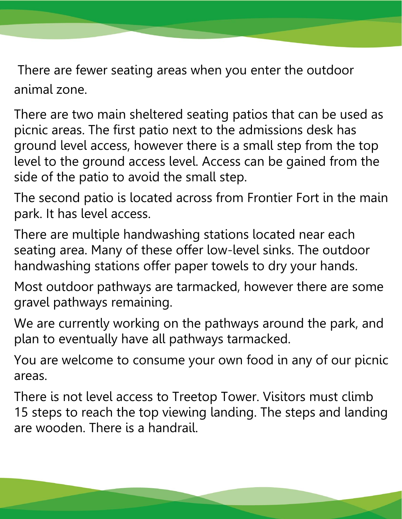There are fewer seating areas when you enter the outdoor animal zone.

There are two main sheltered seating patios that can be used as picnic areas. The first patio next to the admissions desk has ground level access, however there is a small step from the top level to the ground access level. Access can be gained from the side of the patio to avoid the small step.

The second patio is located across from Frontier Fort in the main park. It has level access.

There are multiple handwashing stations located near each seating area. Many of these offer low-level sinks. The outdoor handwashing stations offer paper towels to dry your hands.

Most outdoor pathways are tarmacked, however there are some gravel pathways remaining.

We are currently working on the pathways around the park, and plan to eventually have all pathways tarmacked.

You are welcome to consume your own food in any of our picnic areas.

There is not level access to Treetop Tower. Visitors must climb 15 steps to reach the top viewing landing. The steps and landing are wooden. There is a handrail.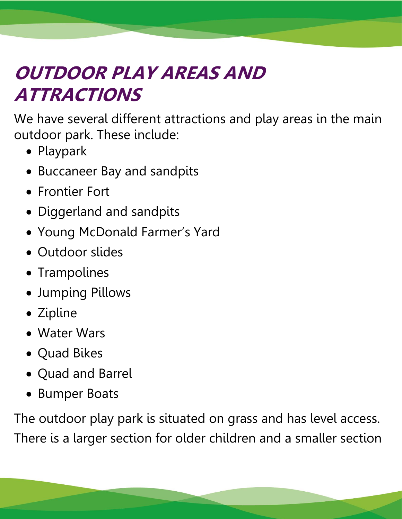# **OUTDOOR PLAY AREAS AND ATTRACTIONS**

We have several different attractions and play areas in the main outdoor park. These include:

- Playpark
- Buccaneer Bay and sandpits
- Frontier Fort
- Diggerland and sandpits
- Young McDonald Farmer's Yard
- Outdoor slides
- Trampolines
- Jumping Pillows
- Zipline
- Water Wars
- Quad Bikes
- Quad and Barrel
- Bumper Boats

The outdoor play park is situated on grass and has level access. There is a larger section for older children and a smaller section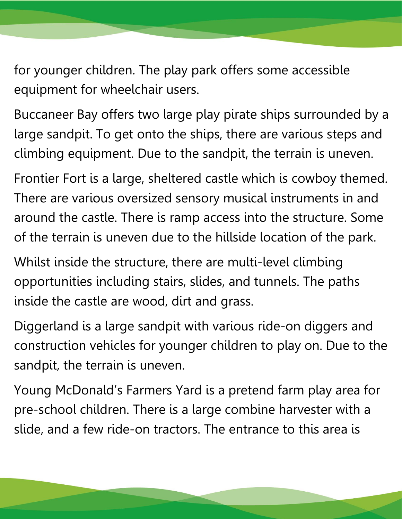for younger children. The play park offers some accessible equipment for wheelchair users.

Buccaneer Bay offers two large play pirate ships surrounded by a large sandpit. To get onto the ships, there are various steps and climbing equipment. Due to the sandpit, the terrain is uneven.

Frontier Fort is a large, sheltered castle which is cowboy themed. There are various oversized sensory musical instruments in and around the castle. There is ramp access into the structure. Some of the terrain is uneven due to the hillside location of the park.

Whilst inside the structure, there are multi-level climbing opportunities including stairs, slides, and tunnels. The paths inside the castle are wood, dirt and grass.

Diggerland is a large sandpit with various ride-on diggers and construction vehicles for younger children to play on. Due to the sandpit, the terrain is uneven.

Young McDonald's Farmers Yard is a pretend farm play area for pre-school children. There is a large combine harvester with a slide, and a few ride-on tractors. The entrance to this area is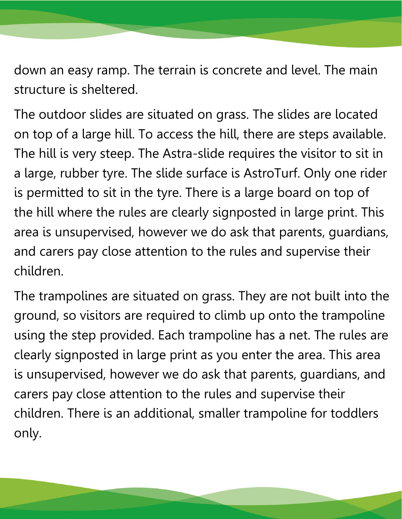down an easy ramp. The terrain is concrete and level. The main structure is sheltered.

The outdoor slides are situated on grass. The slides are located on top of a large hill. To access the hill, there are steps available. The hill is very steep. The Astra-slide requires the visitor to sit in a large, rubber tyre. The slide surface is AstroTurf. Only one rider is permitted to sit in the tyre. There is a large board on top of the hill where the rules are clearly signposted in large print. This area is unsupervised, however we do ask that parents, guardians, and carers pay close attention to the rules and supervise their children.

The trampolines are situated on grass. They are not built into the ground, so visitors are required to climb up onto the trampoline using the step provided. Each trampoline has a net. The rules are clearly signposted in large print as you enter the area. This area is unsupervised, however we do ask that parents, guardians, and carers pay close attention to the rules and supervise their children. There is an additional, smaller trampoline for toddlers only.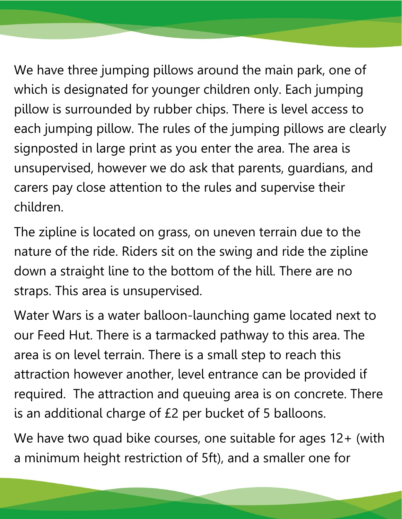We have three jumping pillows around the main park, one of which is designated for younger children only. Each jumping pillow is surrounded by rubber chips. There is level access to each jumping pillow. The rules of the jumping pillows are clearly signposted in large print as you enter the area. The area is unsupervised, however we do ask that parents, guardians, and carers pay close attention to the rules and supervise their children.

The zipline is located on grass, on uneven terrain due to the nature of the ride. Riders sit on the swing and ride the zipline down a straight line to the bottom of the hill. There are no straps. This area is unsupervised.

Water Wars is a water balloon-launching game located next to our Feed Hut. There is a tarmacked pathway to this area. The area is on level terrain. There is a small step to reach this attraction however another, level entrance can be provided if required. The attraction and queuing area is on concrete. There is an additional charge of £2 per bucket of 5 balloons.

We have two quad bike courses, one suitable for ages 12+ (with a minimum height restriction of 5ft), and a smaller one for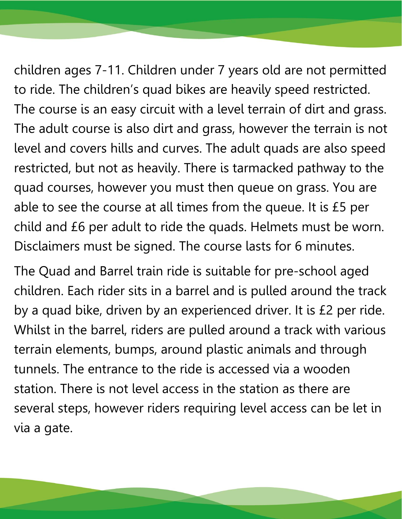children ages 7-11. Children under 7 years old are not permitted to ride. The children's quad bikes are heavily speed restricted. The course is an easy circuit with a level terrain of dirt and grass. The adult course is also dirt and grass, however the terrain is not level and covers hills and curves. The adult quads are also speed restricted, but not as heavily. There is tarmacked pathway to the quad courses, however you must then queue on grass. You are able to see the course at all times from the queue. It is £5 per child and £6 per adult to ride the quads. Helmets must be worn. Disclaimers must be signed. The course lasts for 6 minutes.

The Quad and Barrel train ride is suitable for pre-school aged children. Each rider sits in a barrel and is pulled around the track by a quad bike, driven by an experienced driver. It is £2 per ride. Whilst in the barrel, riders are pulled around a track with various terrain elements, bumps, around plastic animals and through tunnels. The entrance to the ride is accessed via a wooden station. There is not level access in the station as there are several steps, however riders requiring level access can be let in via a gate.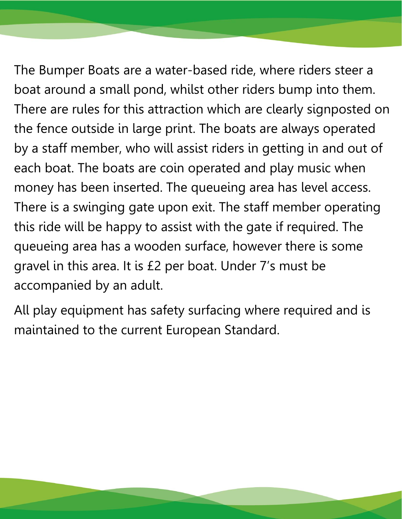The Bumper Boats are a water-based ride, where riders steer a boat around a small pond, whilst other riders bump into them. There are rules for this attraction which are clearly signposted on the fence outside in large print. The boats are always operated by a staff member, who will assist riders in getting in and out of each boat. The boats are coin operated and play music when money has been inserted. The queueing area has level access. There is a swinging gate upon exit. The staff member operating this ride will be happy to assist with the gate if required. The queueing area has a wooden surface, however there is some gravel in this area. It is £2 per boat. Under 7's must be accompanied by an adult.

All play equipment has safety surfacing where required and is maintained to the current European Standard.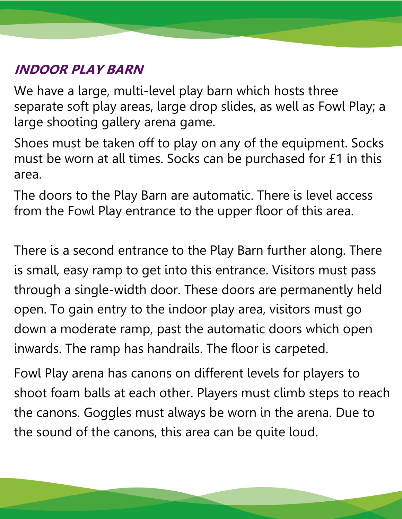### **INDOOR PLAY BARN**

We have a large, multi-level play barn which hosts three separate soft play areas, large drop slides, as well as Fowl Play; a large shooting gallery arena game.

Shoes must be taken off to play on any of the equipment. Socks must be worn at all times. Socks can be purchased for £1 in this area.

The doors to the Play Barn are automatic. There is level access from the Fowl Play entrance to the upper floor of this area.

There is a second entrance to the Play Barn further along. There is small, easy ramp to get into this entrance. Visitors must pass through a single-width door. These doors are permanently held open. To gain entry to the indoor play area, visitors must go down a moderate ramp, past the automatic doors which open inwards. The ramp has handrails. The floor is carpeted.

Fowl Play arena has canons on different levels for players to shoot foam balls at each other. Players must climb steps to reach the canons. Goggles must always be worn in the arena. Due to the sound of the canons, this area can be quite loud.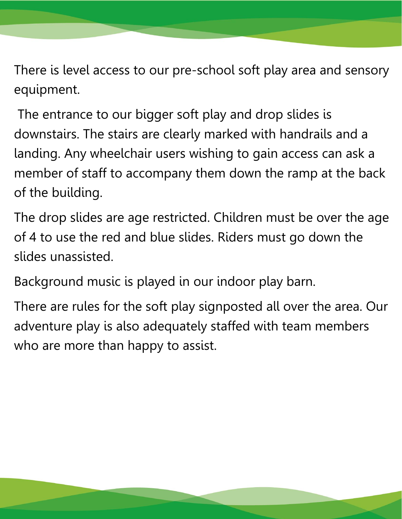There is level access to our pre-school soft play area and sensory equipment.

The entrance to our bigger soft play and drop slides is downstairs. The stairs are clearly marked with handrails and a landing. Any wheelchair users wishing to gain access can ask a member of staff to accompany them down the ramp at the back of the building.

The drop slides are age restricted. Children must be over the age of 4 to use the red and blue slides. Riders must go down the slides unassisted.

Background music is played in our indoor play barn.

There are rules for the soft play signposted all over the area. Our adventure play is also adequately staffed with team members who are more than happy to assist.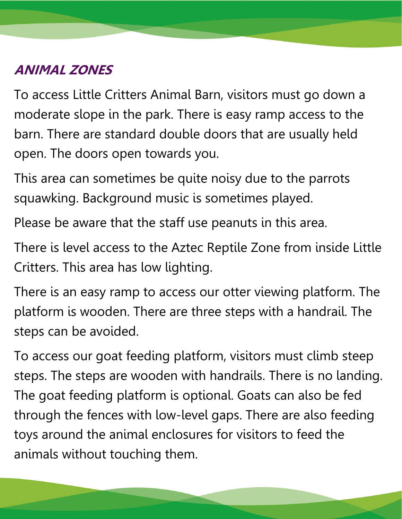#### **ANIMAL ZONES**

To access Little Critters Animal Barn, visitors must go down a moderate slope in the park. There is easy ramp access to the barn. There are standard double doors that are usually held open. The doors open towards you.

This area can sometimes be quite noisy due to the parrots squawking. Background music is sometimes played.

Please be aware that the staff use peanuts in this area.

There is level access to the Aztec Reptile Zone from inside Little Critters. This area has low lighting.

There is an easy ramp to access our otter viewing platform. The platform is wooden. There are three steps with a handrail. The steps can be avoided.

To access our goat feeding platform, visitors must climb steep steps. The steps are wooden with handrails. There is no landing. The goat feeding platform is optional. Goats can also be fed through the fences with low-level gaps. There are also feeding toys around the animal enclosures for visitors to feed the animals without touching them.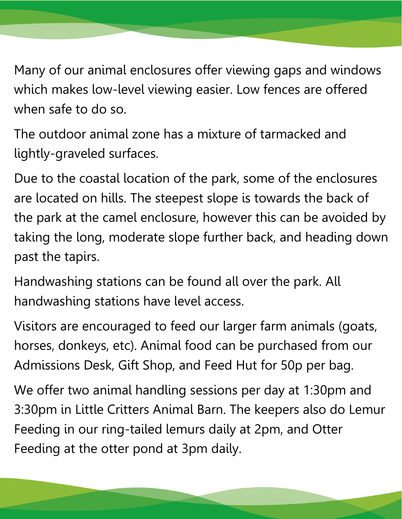Many of our animal enclosures offer viewing gaps and windows which makes low-level viewing easier. Low fences are offered when safe to do so.

The outdoor animal zone has a mixture of tarmacked and lightly-graveled surfaces.

Due to the coastal location of the park, some of the enclosures are located on hills. The steepest slope is towards the back of the park at the camel enclosure, however this can be avoided by taking the long, moderate slope further back, and heading down past the tapirs.

Handwashing stations can be found all over the park. All handwashing stations have level access.

Visitors are encouraged to feed our larger farm animals (goats, horses, donkeys, etc). Animal food can be purchased from our Admissions Desk, Gift Shop, and Feed Hut for 50p per bag.

We offer two animal handling sessions per day at 1:30pm and 3:30pm in Little Critters Animal Barn. The keepers also do Lemur Feeding in our ring-tailed lemurs daily at 2pm, and Otter Feeding at the otter pond at 3pm daily.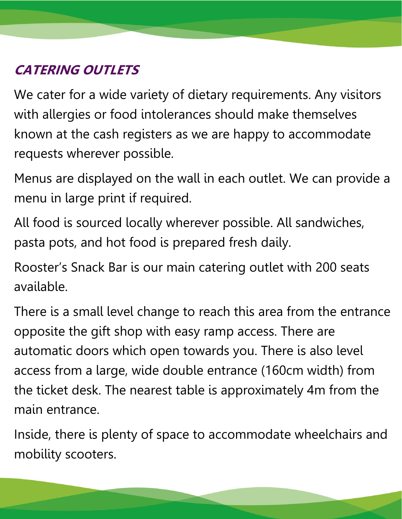### **CATERING OUTLETS**

We cater for a wide variety of dietary requirements. Any visitors with allergies or food intolerances should make themselves known at the cash registers as we are happy to accommodate requests wherever possible.

Menus are displayed on the wall in each outlet. We can provide a menu in large print if required.

All food is sourced locally wherever possible. All sandwiches, pasta pots, and hot food is prepared fresh daily.

Rooster's Snack Bar is our main catering outlet with 200 seats available.

There is a small level change to reach this area from the entrance opposite the gift shop with easy ramp access. There are automatic doors which open towards you. There is also level access from a large, wide double entrance (160cm width) from the ticket desk. The nearest table is approximately 4m from the main entrance.

Inside, there is plenty of space to accommodate wheelchairs and mobility scooters.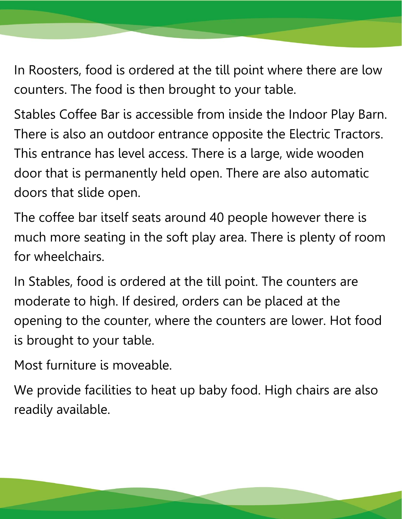In Roosters, food is ordered at the till point where there are low counters. The food is then brought to your table.

Stables Coffee Bar is accessible from inside the Indoor Play Barn. There is also an outdoor entrance opposite the Electric Tractors. This entrance has level access. There is a large, wide wooden door that is permanently held open. There are also automatic doors that slide open.

The coffee bar itself seats around 40 people however there is much more seating in the soft play area. There is plenty of room for wheelchairs.

In Stables, food is ordered at the till point. The counters are moderate to high. If desired, orders can be placed at the opening to the counter, where the counters are lower. Hot food is brought to your table.

Most furniture is moveable.

We provide facilities to heat up baby food. High chairs are also readily available.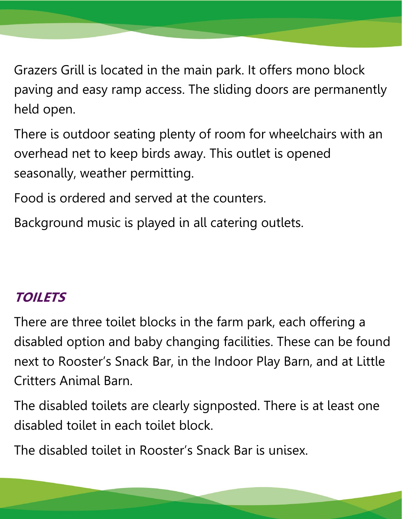Grazers Grill is located in the main park. It offers mono block paving and easy ramp access. The sliding doors are permanently held open.

There is outdoor seating plenty of room for wheelchairs with an overhead net to keep birds away. This outlet is opened seasonally, weather permitting.

Food is ordered and served at the counters.

Background music is played in all catering outlets.

#### **TOILETS**

There are three toilet blocks in the farm park, each offering a disabled option and baby changing facilities. These can be found next to Rooster's Snack Bar, in the Indoor Play Barn, and at Little Critters Animal Barn.

The disabled toilets are clearly signposted. There is at least one disabled toilet in each toilet block.

The disabled toilet in Rooster's Snack Bar is unisex.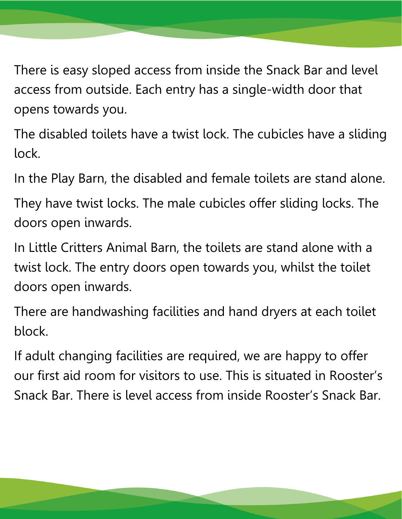There is easy sloped access from inside the Snack Bar and level access from outside. Each entry has a single-width door that opens towards you.

The disabled toilets have a twist lock. The cubicles have a sliding lock.

In the Play Barn, the disabled and female toilets are stand alone.

They have twist locks. The male cubicles offer sliding locks. The doors open inwards.

In Little Critters Animal Barn, the toilets are stand alone with a twist lock. The entry doors open towards you, whilst the toilet doors open inwards.

There are handwashing facilities and hand dryers at each toilet block.

If adult changing facilities are required, we are happy to offer our first aid room for visitors to use. This is situated in Rooster's Snack Bar. There is level access from inside Rooster's Snack Bar.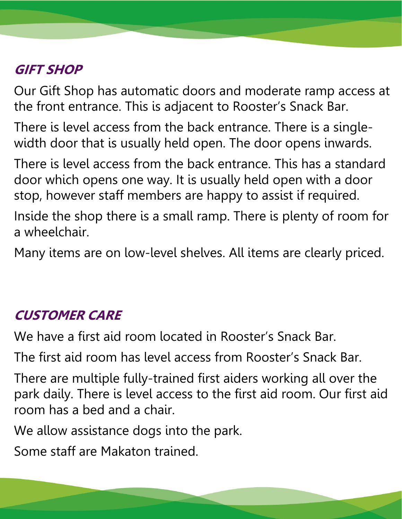### **GIFT SHOP**

Our Gift Shop has automatic doors and moderate ramp access at the front entrance. This is adjacent to Rooster's Snack Bar.

There is level access from the back entrance. There is a singlewidth door that is usually held open. The door opens inwards.

There is level access from the back entrance. This has a standard door which opens one way. It is usually held open with a door stop, however staff members are happy to assist if required.

Inside the shop there is a small ramp. There is plenty of room for a wheelchair.

Many items are on low-level shelves. All items are clearly priced.

#### **CUSTOMER CARE**

We have a first aid room located in Rooster's Snack Bar.

The first aid room has level access from Rooster's Snack Bar.

There are multiple fully-trained first aiders working all over the park daily. There is level access to the first aid room. Our first aid room has a bed and a chair.

We allow assistance dogs into the park.

Some staff are Makaton trained.